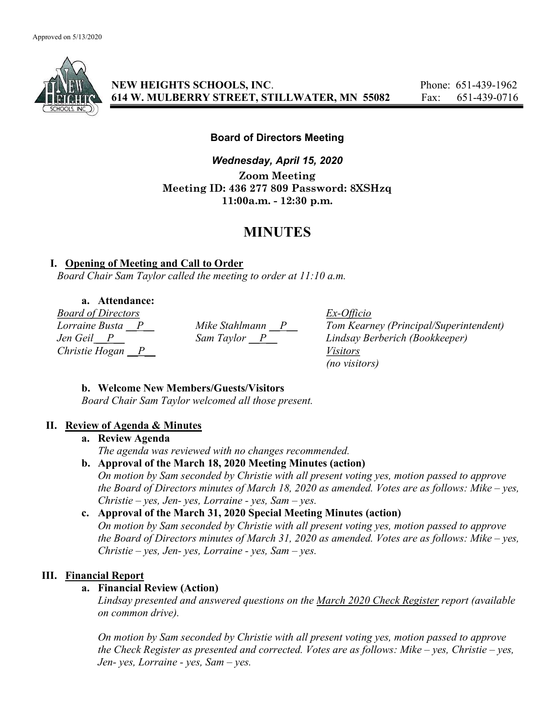

NEW HEIGHTS SCHOOLS, INC. Phone: 651-439-1962 614 W. MULBERRY STREET, STILLWATER, MN 55082 Fax: 651-439-0716

### Board of Directors Meeting

Wednesday, April 15, 2020 Zoom Meeting Meeting ID: 436 277 809 Password: 8XSHzq 11:00a.m. - 12:30 p.m.

# MINUTES

### I. Opening of Meeting and Call to Order

Board Chair Sam Taylor called the meeting to order at 11:10 a.m.

a. Attendance:

Board of Directors Ex-Officio Christie Hogan  $\overline{P}$  Visitors

Mike Stahlmann  $\frac{P}{\text{Dom Kearney}}$  (Principal/Superintendent)<br>Sam Taylor  $\frac{P}{\text{Dom Kearney}}$  Lindsay Berberich (Bookkeeper) Jen Geil P Sam Taylor P Lindsay Berberich (Bookkeeper) (no visitors)

# b. Welcome New Members/Guests/Visitors

Board Chair Sam Taylor welcomed all those present.

# II. Review of Agenda & Minutes

a. Review Agenda

The agenda was reviewed with no changes recommended.

b. Approval of the March 18, 2020 Meeting Minutes (action) On motion by Sam seconded by Christie with all present voting yes, motion passed to approve the Board of Directors minutes of March 18, 2020 as amended. Votes are as follows: Mike – yes,

#### $Christie - yes, Jen- yes, Lorraine - yes, Sam- yes.$ c. Approval of the March 31, 2020 Special Meeting Minutes (action)

On motion by Sam seconded by Christie with all present voting yes, motion passed to approve the Board of Directors minutes of March 31, 2020 as amended. Votes are as follows: Mike – yes,  $Christie - yes, Jen- yes, Lorraine - yes, Sam- yes.$ 

# III. Financial Report

#### a. Financial Review (Action)

Lindsay presented and answered questions on the March 2020 Check Register report (available on common drive).

On motion by Sam seconded by Christie with all present voting yes, motion passed to approve the Check Register as presented and corrected. Votes are as follows: Mike – yes, Christie – yes, Jen- yes, Lorraine - yes, Sam  $-$  yes.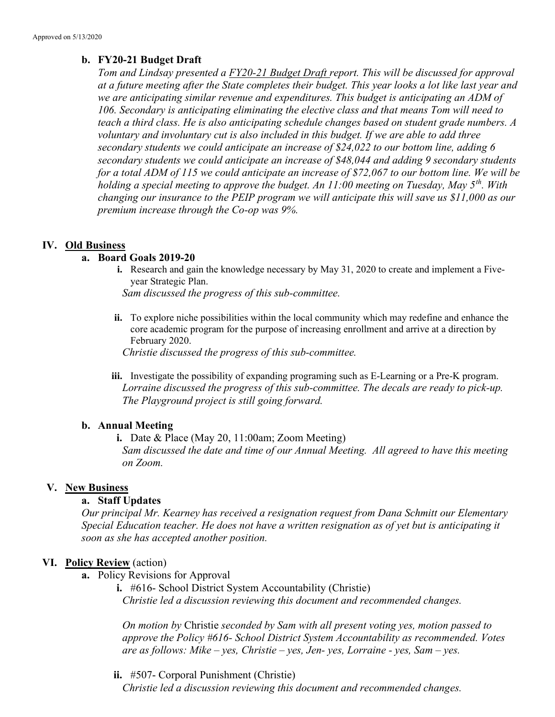### b. FY20-21 Budget Draft

Tom and Lindsay presented a FY20-21 Budget Draft report. This will be discussed for approval at a future meeting after the State completes their budget. This year looks a lot like last year and we are anticipating similar revenue and expenditures. This budget is anticipating an ADM of 106. Secondary is anticipating eliminating the elective class and that means Tom will need to teach a third class. He is also anticipating schedule changes based on student grade numbers. A voluntary and involuntary cut is also included in this budget. If we are able to add three secondary students we could anticipate an increase of \$24,022 to our bottom line, adding 6 secondary students we could anticipate an increase of \$48,044 and adding 9 secondary students for a total ADM of 115 we could anticipate an increase of \$72,067 to our bottom line. We will be holding a special meeting to approve the budget. An 11:00 meeting on Tuesday, May  $5^{th}$ . With changing our insurance to the PEIP program we will anticipate this will save us \$11,000 as our premium increase through the Co-op was 9%.

### IV. Old Business

### a. Board Goals 2019-20

i. Research and gain the knowledge necessary by May 31, 2020 to create and implement a Fiveyear Strategic Plan.

Sam discussed the progress of this sub-committee.

ii. To explore niche possibilities within the local community which may redefine and enhance the core academic program for the purpose of increasing enrollment and arrive at a direction by February 2020.

Christie discussed the progress of this sub-committee.

iii. Investigate the possibility of expanding programing such as E-Learning or a Pre-K program. Lorraine discussed the progress of this sub-committee. The decals are ready to pick-up. The Playground project is still going forward.

#### b. Annual Meeting

i. Date & Place (May 20, 11:00am; Zoom Meeting) Sam discussed the date and time of our Annual Meeting. All agreed to have this meeting on Zoom.

# V. New Business

# a. Staff Updates

Our principal Mr. Kearney has received a resignation request from Dana Schmitt our Elementary Special Education teacher. He does not have a written resignation as of yet but is anticipating it soon as she has accepted another position.

#### VI. Policy Review (action)

- a. Policy Revisions for Approval
	- i. #616- School District System Accountability (Christie) Christie led a discussion reviewing this document and recommended changes.

On motion by Christie seconded by Sam with all present voting yes, motion passed to approve the Policy #616- School District System Accountability as recommended. Votes are as follows: Mike – yes, Christie – yes, Jen- yes, Lorraine - yes, Sam – yes.

ii. #507- Corporal Punishment (Christie) Christie led a discussion reviewing this document and recommended changes.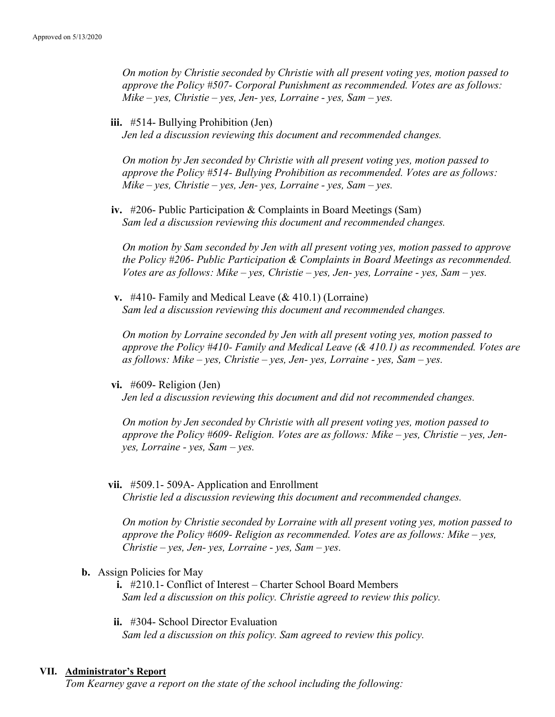On motion by Christie seconded by Christie with all present voting yes, motion passed to approve the Policy #507- Corporal Punishment as recommended. Votes are as follows: Mike – yes, Christie – yes, Jen- yes, Lorraine - yes, Sam – yes.

iii. #514- Bullying Prohibition (Jen)

Jen led a discussion reviewing this document and recommended changes.

On motion by Jen seconded by Christie with all present voting yes, motion passed to approve the Policy #514- Bullying Prohibition as recommended. Votes are as follows:  $Mike - yes$ , Christie – yes, Jen- yes, Lorraine - yes, Sam – yes.

iv. #206- Public Participation & Complaints in Board Meetings (Sam) Sam led a discussion reviewing this document and recommended changes.

On motion by Sam seconded by Jen with all present voting yes, motion passed to approve the Policy #206- Public Participation & Complaints in Board Meetings as recommended. Votes are as follows: Mike – yes, Christie – yes, Jen- yes, Lorraine - yes, Sam – yes.

v. #410- Family and Medical Leave (& 410.1) (Lorraine) Sam led a discussion reviewing this document and recommended changes.

On motion by Lorraine seconded by Jen with all present voting yes, motion passed to approve the Policy #410- Family and Medical Leave (& 410.1) as recommended. Votes are as follows: Mike – yes, Christie – yes, Jen- yes, Lorraine - yes, Sam – yes.

vi. #609- Religion (Jen)

Jen led a discussion reviewing this document and did not recommended changes.

On motion by Jen seconded by Christie with all present voting yes, motion passed to approve the Policy #609- Religion. Votes are as follows: Mike – yes, Christie – yes, Jenyes, Lorraine - yes, Sam – yes.

vii. #509.1- 509A- Application and Enrollment

Christie led a discussion reviewing this document and recommended changes.

On motion by Christie seconded by Lorraine with all present voting yes, motion passed to approve the Policy #609- Religion as recommended. Votes are as follows: Mike – yes,  $Christie - yes, Jen- yes, Lorraine - yes, Sam- yes.$ 

- b. Assign Policies for May
	- i. #210.1- Conflict of Interest Charter School Board Members Sam led a discussion on this policy. Christie agreed to review this policy.
	- ii. #304- School Director Evaluation Sam led a discussion on this policy. Sam agreed to review this policy.

#### VII. Administrator's Report

Tom Kearney gave a report on the state of the school including the following: